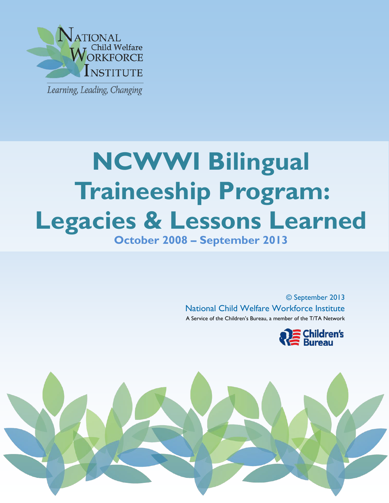

j

# **NCWWI Bilingual Traineeship Program: Legacies & Lessons Learned October 2008 – September 2013**

© September 2013 National Child Welfare Workforce Institute A Service of the Children's Bureau, a member of the T/TA Network



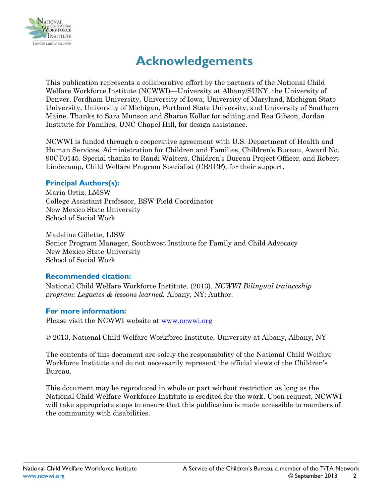

# **Acknowledgements**

This publication represents a collaborative effort by the partners of the National Child Welfare Workforce Institute (NCWWI)—University at Albany/SUNY, the University of Denver, Fordham University, University of Iowa, University of Maryland, Michigan State University, University of Michigan, Portland State University, and University of Southern Maine. Thanks to Sara Munson and Sharon Kollar for editing and Rea Gibson, Jordan Institute for Families, UNC Chapel Hill, for design assistance.

NCWWI is funded through a cooperative agreement with U.S. Department of Health and Human Services, Administration for Children and Families, Children's Bureau, Award No. 90CT0145. Special thanks to Randi Walters, Children's Bureau Project Officer, and Robert Lindecamp, Child Welfare Program Specialist (CB/ICF), for their support.

#### **Principal Authors(s):**

Maria Ortiz, LMSW College Assistant Professor, BSW Field Coordinator New Mexico State University School of Social Work

Madeline Gillette, LISW Senior Program Manager, Southwest Institute for Family and Child Advocacy New Mexico State University School of Social Work

#### **Recommended citation:**

National Child Welfare Workforce Institute. (2013). *NCWWI Bilingual traineeship program: Legacies & lessons learned.* Albany, NY: Author.

#### **For more information:**

Please visit the NCWWI website at [www.ncwwi.org](http://www.ncwwi.org/)

© 2013, National Child Welfare Workforce Institute, University at Albany, Albany, NY

The contents of this document are solely the responsibility of the National Child Welfare Workforce Institute and do not necessarily represent the official views of the Children's Bureau.

This document may be reproduced in whole or part without restriction as long as the National Child Welfare Workforce Institute is credited for the work. Upon request, NCWWI will take appropriate steps to ensure that this publication is made accessible to members of the community with disabilities.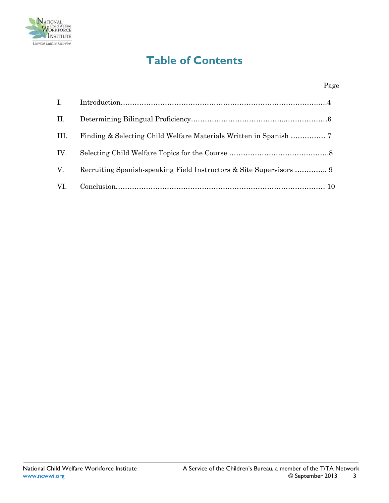

### **Table of Contents**

| II. |  |
|-----|--|
| Ш.  |  |
| IV. |  |
| V.  |  |
|     |  |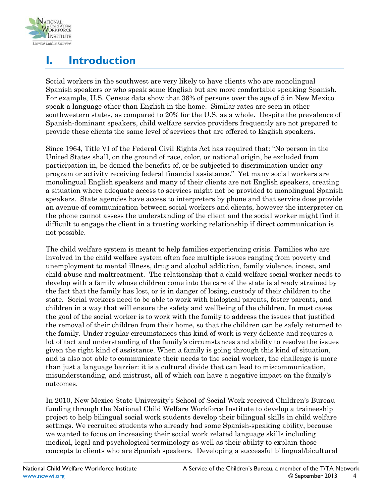

## **I. Introduction**

Social workers in the southwest are very likely to have clients who are monolingual Spanish speakers or who speak some English but are more comfortable speaking Spanish. For example, U.S. Census data show that 36% of persons over the age of 5 in New Mexico speak a language other than English in the home. Similar rates are seen in other southwestern states, as compared to 20% for the U.S. as a whole. Despite the prevalence of Spanish-dominant speakers, child welfare service providers frequently are not prepared to provide these clients the same level of services that are offered to English speakers.

Since 1964, Title VI of the Federal Civil Rights Act has required that: "No person in the United States shall, on the ground of race, color, or national origin, be excluded from participation in, be denied the benefits of, or be subjected to discrimination under any program or activity receiving federal financial assistance." Yet many social workers are monolingual English speakers and many of their clients are not English speakers, creating a situation where adequate access to services might not be provided to monolingual Spanish speakers. State agencies have access to interpreters by phone and that service does provide an avenue of communication between social workers and clients, however the interpreter on the phone cannot assess the understanding of the client and the social worker might find it difficult to engage the client in a trusting working relationship if direct communication is not possible.

The child welfare system is meant to help families experiencing crisis. Families who are involved in the child welfare system often face multiple issues ranging from poverty and unemployment to mental illness, drug and alcohol addiction, family violence, incest, and child abuse and maltreatment. The relationship that a child welfare social worker needs to develop with a family whose children come into the care of the state is already strained by the fact that the family has lost, or is in danger of losing, custody of their children to the state. Social workers need to be able to work with biological parents, foster parents, and children in a way that will ensure the safety and wellbeing of the children. In most cases the goal of the social worker is to work with the family to address the issues that justified the removal of their children from their home, so that the children can be safely returned to the family. Under regular circumstances this kind of work is very delicate and requires a lot of tact and understanding of the family's circumstances and ability to resolve the issues given the right kind of assistance. When a family is going through this kind of situation, and is also not able to communicate their needs to the social worker, the challenge is more than just a language barrier: it is a cultural divide that can lead to miscommunication, misunderstanding, and mistrust, all of which can have a negative impact on the family's outcomes.

In 2010, New Mexico State University's School of Social Work received Children's Bureau funding through the National Child Welfare Workforce Institute to develop a traineeship project to help bilingual social work students develop their bilingual skills in child welfare settings. We recruited students who already had some Spanish-speaking ability, because we wanted to focus on increasing their social work related language skills including medical, legal and psychological terminology as well as their ability to explain those concepts to clients who are Spanish speakers. Developing a successful bilingual/bicultural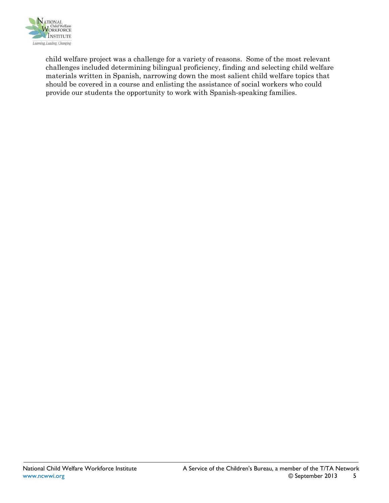

child welfare project was a challenge for a variety of reasons. Some of the most relevant challenges included determining bilingual proficiency, finding and selecting child welfare materials written in Spanish, narrowing down the most salient child welfare topics that should be covered in a course and enlisting the assistance of social workers who could provide our students the opportunity to work with Spanish-speaking families.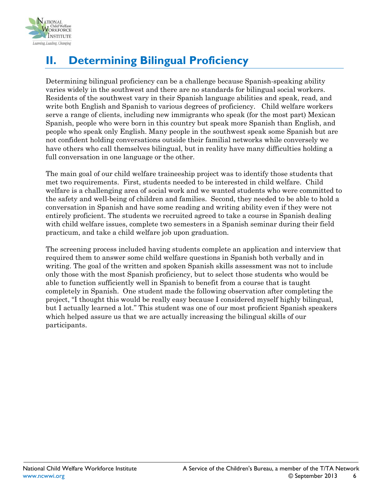

## **II. Determining Bilingual Proficiency**

Determining bilingual proficiency can be a challenge because Spanish-speaking ability varies widely in the southwest and there are no standards for bilingual social workers. Residents of the southwest vary in their Spanish language abilities and speak, read, and write both English and Spanish to various degrees of proficiency. Child welfare workers serve a range of clients, including new immigrants who speak (for the most part) Mexican Spanish, people who were born in this country but speak more Spanish than English, and people who speak only English. Many people in the southwest speak some Spanish but are not confident holding conversations outside their familial networks while conversely we have others who call themselves bilingual, but in reality have many difficulties holding a full conversation in one language or the other.

The main goal of our child welfare traineeship project was to identify those students that met two requirements. First, students needed to be interested in child welfare. Child welfare is a challenging area of social work and we wanted students who were committed to the safety and well-being of children and families. Second, they needed to be able to hold a conversation in Spanish and have some reading and writing ability even if they were not entirely proficient. The students we recruited agreed to take a course in Spanish dealing with child welfare issues, complete two semesters in a Spanish seminar during their field practicum, and take a child welfare job upon graduation.

The screening process included having students complete an application and interview that required them to answer some child welfare questions in Spanish both verbally and in writing. The goal of the written and spoken Spanish skills assessment was not to include only those with the most Spanish proficiency, but to select those students who would be able to function sufficiently well in Spanish to benefit from a course that is taught completely in Spanish. One student made the following observation after completing the project, "I thought this would be really easy because I considered myself highly bilingual, but I actually learned a lot." This student was one of our most proficient Spanish speakers which helped assure us that we are actually increasing the bilingual skills of our participants.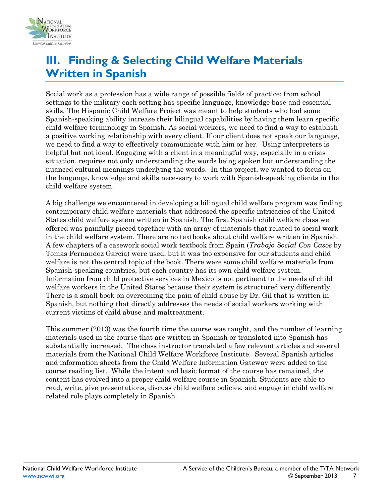

#### **III. Finding & Selecting Child Welfare Materials Written in Spanish**

Social work as a profession has a wide range of possible fields of practice; from school settings to the military each setting has specific language, knowledge base and essential skills. The Hispanic Child Welfare Project was meant to help students who had some Spanish-speaking ability increase their bilingual capabilities by having them learn specific child welfare terminology in Spanish. As social workers, we need to find a way to establish a positive working relationship with every client. If our client does not speak our language, we need to find a way to effectively communicate with him or her. Using interpreters is helpful but not ideal. Engaging with a client in a meaningful way, especially in a crisis situation, requires not only understanding the words being spoken but understanding the nuanced cultural meanings underlying the words. In this project, we wanted to focus on the language, knowledge and skills necessary to work with Spanish-speaking clients in the child welfare system.

A big challenge we encountered in developing a bilingual child welfare program was finding contemporary child welfare materials that addressed the specific intricacies of the United States child welfare system written in Spanish. The first Spanish child welfare class we offered was painfully pieced together with an array of materials that related to social work in the child welfare system. There are no textbooks about child welfare written in Spanish. A few chapters of a casework social work textbook from Spain (*Trabajo Social Con Casos* by Tomas Fernandez Garcia) were used, but it was too expensive for our students and child welfare is not the central topic of the book. There were some child welfare materials from Spanish-speaking countries, but each country has its own child welfare system. Information from child protective services in Mexico is not pertinent to the needs of child welfare workers in the United States because their system is structured very differently. There is a small book on overcoming the pain of child abuse by Dr. Gil that is written in Spanish, but nothing that directly addresses the needs of social workers working with current victims of child abuse and maltreatment.

This summer (2013) was the fourth time the course was taught, and the number of learning materials used in the course that are written in Spanish or translated into Spanish has substantially increased. The class instructor translated a few relevant articles and several materials from the National Child Welfare Workforce Institute. Several Spanish articles and information sheets from the Child Welfare Information Gateway were added to the course reading list. While the intent and basic format of the course has remained, the content has evolved into a proper child welfare course in Spanish. Students are able to read, write, give presentations, discuss child welfare policies, and engage in child welfare related role plays completely in Spanish.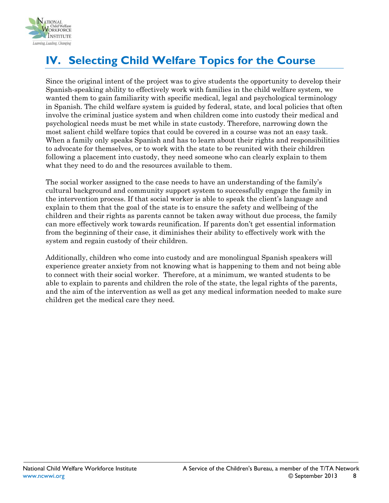

# **IV. Selecting Child Welfare Topics for the Course**

Since the original intent of the project was to give students the opportunity to develop their Spanish-speaking ability to effectively work with families in the child welfare system, we wanted them to gain familiarity with specific medical, legal and psychological terminology in Spanish. The child welfare system is guided by federal, state, and local policies that often involve the criminal justice system and when children come into custody their medical and psychological needs must be met while in state custody. Therefore, narrowing down the most salient child welfare topics that could be covered in a course was not an easy task. When a family only speaks Spanish and has to learn about their rights and responsibilities to advocate for themselves, or to work with the state to be reunited with their children following a placement into custody, they need someone who can clearly explain to them what they need to do and the resources available to them.

The social worker assigned to the case needs to have an understanding of the family's cultural background and community support system to successfully engage the family in the intervention process. If that social worker is able to speak the client's language and explain to them that the goal of the state is to ensure the safety and wellbeing of the children and their rights as parents cannot be taken away without due process, the family can more effectively work towards reunification. If parents don't get essential information from the beginning of their case, it diminishes their ability to effectively work with the system and regain custody of their children.

Additionally, children who come into custody and are monolingual Spanish speakers will experience greater anxiety from not knowing what is happening to them and not being able to connect with their social worker. Therefore, at a minimum, we wanted students to be able to explain to parents and children the role of the state, the legal rights of the parents, and the aim of the intervention as well as get any medical information needed to make sure children get the medical care they need.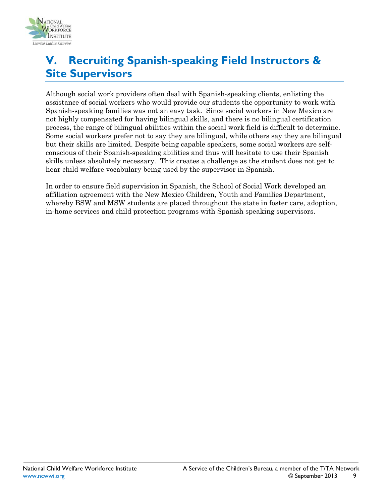

#### **V. Recruiting Spanish-speaking Field Instructors & Site Supervisors**

Although social work providers often deal with Spanish-speaking clients, enlisting the assistance of social workers who would provide our students the opportunity to work with Spanish-speaking families was not an easy task. Since social workers in New Mexico are not highly compensated for having bilingual skills, and there is no bilingual certification process, the range of bilingual abilities within the social work field is difficult to determine. Some social workers prefer not to say they are bilingual, while others say they are bilingual but their skills are limited. Despite being capable speakers, some social workers are selfconscious of their Spanish-speaking abilities and thus will hesitate to use their Spanish skills unless absolutely necessary. This creates a challenge as the student does not get to hear child welfare vocabulary being used by the supervisor in Spanish.

In order to ensure field supervision in Spanish, the School of Social Work developed an affiliation agreement with the New Mexico Children, Youth and Families Department, whereby BSW and MSW students are placed throughout the state in foster care, adoption, in-home services and child protection programs with Spanish speaking supervisors.